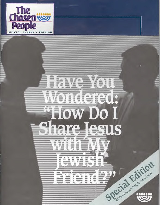

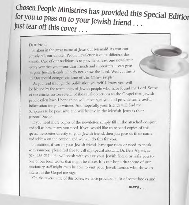*Chosen People* Ministries has provided this Special Edition for you to pass on to your Jewish friend . . . just tear off this *cover . . .* 

Dear friend,

Shalom in the great name of Jesus our Messiah! As you can already tell, our Chosen People newsletter is quite different this month. One of our traditions is to provide at least one newsletter every year that you—our dear friends and supporters—can give to your Jewish friends who do not know the Lord. Well ... this is it! Our special evangelistic issue of *The Chosen People!* 

As you read through the publication yourself, I know you will be blessed by the testimonies of Jewish people who have found the Lord. Some of the articles answer several of the usual objections to the Gospel that Jewish people often have. I hope these will encourage you and provide some useful information for your witness. And hopefully, your friends will find the Scriptures to be persuasive and will believe in the Messiah Jesus as their personal Savior.

If you need more copies of the newsletter, simply fill in the attached coupon and tell us how many you need. If you would like us to send copies of this special newsletter directly to your Jewish friend, then just give us their name and address on the coupon and we will do this for you.

In addition, if you or your Jewish friends have questions or need to speak with someone, please feel free to call my special assistant, Dr. Ben Alpert, at (800)236-2114. He will speak with you or your Jewish friend or refer you to one of our local works that might be closer. It is our hope that some of our missionary staff might even be able to visit your Jewish friends who show an interest in the Gospel message.

On the reverse side of this cover, we have provided a list of some books and

*2210re* 

 $\sqrt{2\pi/4}$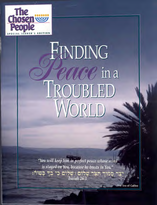

## FINDING **EARC** in a <u>I ROUBLED</u> JORLD

"You will keep him in perfect peace whose mind is stayed on You, because he trusts in You." סמוד תצר שלום ו שלום כי כך בטוח: Isaiah 26:3

The Sea of Galilee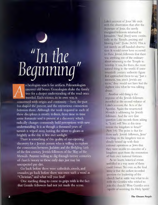# "In the<br>Beginning"

rcheologists search for artifacts. Paleontologists  $|\Delta|$ uncover old bones. Genealogists shake the family tree for a deeper understanding of the road once traveled. Each science, in its own way, is concerned with origin and continuity—how the past has shaped the present, and the mysterious connection between them. Although the work required in each of these disciplines is mostly tedium, from time to time some fortunate soul is present at a discovery which radically changes commonly held perceptions with new understanding. It is as though a thousand years of tarnish is wiped away, leaving the silver to gleam as brightly as the day it first met sunlight.

There is something of this quality of eye-opening discovery for a Jewish person who is willing to explore the connection between Judaism and the fledgling faith of the first century Jewish followers of the Way of the Messiah. Anyone willing to dig through twenty centuries of church history to those early days just may hit unexpected pay dirt.

Go back before there were cathedrals, creeds, and crusades; go back before there was even such a word as "Christian," and what will you find?

One startling thing to come to grips with is the fact that Gentile followers had not yet made the scene.

Luke's account of Jesus' life ends with the observation that after the departure of Jesus, the newly energized followers returned to Jerusalem. "And [they] were continually in the Temple, praising and blessing God." (Luke 24:53) This is not merely an off-handed observation. It would never have occurred to these Jewish followers that there was anything out of the ordinary about returning to the Temple to worship. It was, for them, the most natural thing in the world. If some twentieth century authority figure had approached them to say, "Just a moment, you aren't Jewish any more," they would not have had the slightest idea what he was talking about.

Another odd thing is the response of the Jewish followers recorded in the second volume of Luke's account, the Acts of the Apostles. Again the resurrected Messiah is addressing his Jewish followers. And the very first question Luke records them asking is, "Lord, will You at this time restore the kingdom to Israel?" (Acts 1:6) The point is that for those early Jewish followers, Jesus' teaching on the kingdom was so closely bound up with their national aspirations as Jews that they were unable to conceive of a kingdom apart from the restoration of their own national fortunes.

As we know, historical events unfolded in a way none of them could foresee. Yet even so, the final irony is that the earliest recorded question the leadership of the church had to settle was what to do with the Gentiles who wished to join the church! Were Gentiles even capable of receiving the Holy Spirit?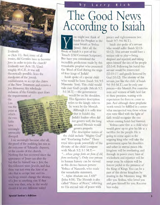

#### **Evidently**

**so (Acts 11). And, irony of all ironies, did Gentiles have to become Jews in order to join the church? Evidently not (Acts 15). Until roughly 85 C.E., it was still theoretically possible, from the standpoint of the Jewish establishment, to accept the claims of the New Testament and remain a Jew. However, this wholesale inclusion of the Gentiles apart from the requirements of** 

**the Law was the point at which the two faiths have seemingly irrevocably diverged.** 

**A, V 13's day of the Con-1.01 krow and 2.01 krow** y Pil, and travelled in **ft"' ,w- ,yria**  •••=7,,,.., **Toff Mg**  *d* 

**<sup>31</sup> 5•/:',4; ',:\*37:33/1** 

rea<br>1982<br>1982

**44" voe. 1-Pr.):art; ''rt** 

**-,vsa**

**I say seemingly because, after all, the proof of the pudding lies not in the outcome of Talmudic disputes, or the canons of the church. Nothing that has occurred since the appearance of Jesus can alter the fact that he himself was a Jew, the first followers were Jewish, and that there was not even the hint of an idea that to accept him and his teachings would change the identity of a Jew to anything else. If that were true then, why in the world**  should it be any **different today?** 

## The Good News According to Isaiah

**ou might not think of Isaiah the Prophet in the same breath as Yeshua (Jesus). After all, the Book of Isaiah is a part of the Tenach (Old Covenant Scriptures). But have you considered the incredible predictions made by this remarkable prophet who presented the Word of God during the reign of four kings of Judah?**   $\sum_{0}^{n}$ 

**Isaiah spoke of a special child who would be born (Isaiah 9:6; 9:5 Masoretic Text). This child would rule over God's people (Micah 5:2;** 

**5:1 M.T.)—the government would be on his shoulders. ",, This figurative description**  refers to the kingly robe to be worn by the Messiah.

**not govern well, the long awaited Messiah would govern properly.**  Although it is sadly true *'40* **that in Isaiah's day**  Judah's leaders often did

The descriptive names of **the child include "Mighty God" and "Everlasting Father." These royal titles speak powerfully of the divinity of the child (compare with Micah 5:2; 5:1 M.T.— "...** *whose goings forth are from of old, from everlasting").* **Only one person in human history can be viewed as this divine/human person: Yeshua of Nazareth, who made the remarkable statement,**  *"...Wore Abraham was, I AM"*  **(John 8:58). The Messiah is also called "Prince of Peace," referring to His eternal rule of peace with** 

**justice and righteousness (see Isaiah 9:7; 9:6 M.T.).** 

**Isaiah also spoke of a servant who would suffer (Isaiah 52:13- 53:12). This servant would have a unique role to play—being despised and rejected, and taking upon himself the sins of the people (53:3-8). Following his burial this servant would be resurrected (53:10-11) and greatly honored by God (53:12). The identity of this servant, just like the child of Isaiah 9:6 (9:5 M.T.), can be only one person—the Messiah. For centuries men and women of faith held fast to these promises, waiting with expectation for them to come to pass. And although these prophetic words would be fulfilled in a somewhat unexpected way, those whose eyes were filled with the light of faith would recognize the one whose coming Isaiah had foretold.** 

**Yeshua came first as a child who would grow up to give his** life as a **sacrifice for the people. He** is **going to come again as the reigning king who will take the government upon his shoulders and usher in eternal peace. His kingdom will be everlasting, and through its power every hint of wickedness and injustice will be swept away. Its subjects will be forever joyful in the presence of the King of Kings. You can be a part of this divine kingdom by trusting in the Messianic king. We offer you Yeshua, who loved you and gave himself for you. Receive him today.**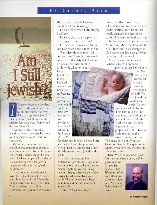#### **<sup>b</sup>**y **D** e n n i s K a r



**did** you stop being Jewish?" **'11 never forget the day that my friend's mother came up to me and asked, "So why I had just accepted Yeshua as my Messiah less than a year before, and she was offended.** 

**"Ruthie," I said, "I'm still as Jewish as I ever was—maybe more so." I'm sorry to say, she was not convinced.** 

**My mom comes from the same school of thought, although she is now studying the Bible with me to see if what I believe might be true after all. Many people believe that it is a conflict in terms for Jewish people to believe in Jesus, Yeshua haMashiach.** 

**• The answer is quite simple. I wish that I had been able to share it with Ruthie, but I didn't have this simple illustration to give her then.**  You see, when I was a little **"boychik" in my mom's arms some** 

**48 years ago, my belief system consisted of the following:** 

**I believe that when I am hungry, I will cry!** 

**I believe that I am happier in a dry diaper than in a wet one!** 

**I believe that waking up Mom and Dad three times a night is fun!** 

**Was I Jewish back then? Of course I was! Every Ruthie would concede to that. My belief system, or lack of one, had nothing to do with whether or not** 

**I was Jewish. So if what I believed when I was ; born had no bearing on my Jewishness, why would my beliefs have any bearing on my Jewishness now that I believe in the Messiah of Israel? It** 

**shouldn't and it doesn't. I was born Jewish and I will always remain Jewish. That is a simple fact of my life. My parents were Jewish and so am I.** 

av de

**In the same way, my four children are Jewish too. They were Jewish before they had a chance to believe anything. You see, being Jewish is being a descendant of the patriarchs, Abraham, Isaac and Jacob. That is the simple Biblical definition and one we should all agree with.** 

**I find it very interesting to** 

**remember that modern-day Christianity was really started as a Jewish, spiritual revolution that totally changed the face of the earth. Nineteen hundred years ago, to be Gentile and believe in Israel's Messiah was the exception, not the rule. How times have changed as God works out His plan to bring salvation to all the world.** 

**My prayer is that Jews and Gentiles alike will come to understand that believing in** 

**the One** 

**who gives • eternal life is not a matter of heritage but of faith. We are Jewish or Gentile by birth. We are** 

**given eternal life by faith. That faith is in the one true God, the God of the**  Jew and the Gentile, the God who sent His only **begotten Son**, as **Vi prophesied in the Hebrew**  Scriptures, to be the **atonement for our sins.** 

**"I he question is not if you are Jewish or Gentile. The question is whether you have received the life of the Son of God.** 

**Isaiah 9:6** *"For unto us a Child is born, unto us a Son is given; and the* 

*government will be upon His shoulder. And His name will be called Wonderful, Counselor, Mighty God, Everlasting Father, Prince of Peace."* 

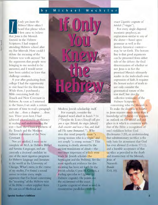#### y Michael Wechsler

*f only you knew the*<br> *Hebrew!* How ofter<br> **heard that phrase we believe to believe** *Hebrew!* How often I heard that phrase when I first came to believe that Jesus is the Messiah foretold in the Hebrew Scriptures. I had stopped attending Hebrew school after my Bar Mitzvah. How could I debate the meaning of the Hebrew text with anyone? Yet the arguments that people were bringing to me needed to be answered, and I would never have been satisfied to leave that challenge untaken.

A year after graduating from college I had the opportunity to visit Israel for the first time. While there, I purchased a Bible containing both the Tenach and New Covenant in Hebrew. As soon as I returned to the States, I set aside a certain amount of time to read a paragraph each day ...then a chapter ... then two. Three years later, I had achieved a comfortable proficiency in reading and understanding the text-both the Classical Hebrew of the Tenach and the Modern Hebrew translation of the New Covenant.

Not yet satisfied, I went on to complete an M.A. in Hebrew Bible and Semitic Languages, and am currently a doctoral candidate in one of the most rigorous programs for Hebrew language and literature in the world at the University of Chicago. What's more, in the course of my studies, I've found a sound answer to refine every single argument that I've heard concerning the "meaning" of the Hebrew text of the Bible—often supplied from the vast sea of Medieval and



Modern Jewish scholarship itself.

For example, consider the disputed word *almah* in Isaiah 7:14 *("Therefore the* **LORD** *Himself will give you a sign: Behold, the virgin [almah] shall conceive and bear a Son, and shall call His name Immanuel.").* Why does this word properly mean "a young woman who is a virgin" and not simply "a young woman"? This meaning is clearly attested by the ancient translations of *almah—the*  two most important of which were made by Jewish scholars (the Septuagint and the Peshitta). Yet the most significant evidence for this meaning has been set forth by the Jewish scholar, Cyrus H. Gordon, a leading specialist in Ugaritic (a) Hebrew cognate). He points out the occurrence of the exact Ugaritic cognate of *almah* as used in synonymous parallelism with the

exact Ugaritic cognate of *betulah* ("virgin").

For every single disputed messianic prophecy, an explanation similar to any of the above—based upon grammar as well as the literary-historical context may be set forth. The bottom line is that good arguments can be presented from either side of the debate; the final determination of whether or not Jesus is in fact the promised Messiah ultimately resides in the individual's own expression of faith. It requires the honest seeker of truth to not only consider the grammatical nature of the text itself, but also the collective testimony of the Hebrew Scriptures

concerning who the Messiah is. To make the decision to believe

in Jesus requires much more than a knowledge of Hebrew—it requires an outlook on this world and our place in it which is consistent with that of the Bible: a recognition of one's sinfulness before God (Ecclesiastes 7:20), an understanding that substitutionary sacrifice is the only basis for atonement that God has ever allowed (Leviticus 17:11), and a humble acceptance of that sacrifice as provided in the death and resurrection of the Messiah,

Jesus of Nazareth (Isaiah 53:5, 10).

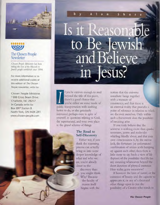



*Chosen People Ministries has been taking the love of the Messiah to Jewish people worldwide since 1894.* 

For more information or to receive additional copies of this edition of *The Chosen People* newsletter, write to:

Chosen People Ministries 1300 Cross Beam Drive Charlotte, NC 28217 In Canada write to: Box 897 Station B North York, ON M2K 2R1 www.chosen-people.com

## b A I a n S h o r Is it Reasona to Be Jewis and Believe. in Jesus? 4zA ,14.• ,

I f you're curious enough to read<br>beyond the title of this piece,<br>there's a good chance that<br>you're either on some mode of beyond the tide of this piece, there's a good chance that public transportation with nothing better to do, or else genuinely interested, perhaps even in spite of yourself; in questions relating to God, the supernatural, and your own place in the grand scheme of things.

#### **The Road to Self-Discovery**

Either way, if you': think the reasoning process can actually bring us into some deeper knowledge of what and who we are, you're already closer to the

> discovery than you might think. Why? Because the faculty of reason itself begins with the

**<sup>41</sup>11110-** 

notion that the universe somehow hangs together with a measure of consistency, and that there is an external reality that provides a point of reference in relation to which we discover ourselves. Only within such a framework does the possibility of meaning arise.

If you truly believe that the universe is nothing more than quarks, neutrinos, atoms and molecules whirling blindly about, and that your own consciousness is, by the merest luck, the fortunate (or unfortunate) combination of amino acids bumping up against each other, then there is little more to say. Such a view of life disposes of the possibility that life has any meaning whatsoever beyond the short duration of physical existence. Here today, gone tomorrow!

If however the laws of nature, or the existence of beauty and the capacity to appreciate it, or any of a thousand other things open to you the possibility of a Creator who stands iii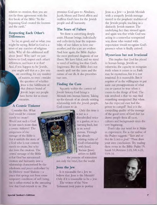relation to creation, then you are not far from agreement with the first book of the Bible: "In the beginning God created the heavens and the earth."

#### **Respecting Each Other's Differences**

So far, so good, and so what, you might be saying. Belief in God is a tenet of any number of religious faiths. Why all this additional stuff about Jesus? Why can't we just believe in God, respect each other's differences, and leave it at that? And, if you happen to be Jewish,

you might add that as a Jew you are unwilling, for any number of reasons, to even consider the question of whether Jesus is the fulfillment of that distinct brand of Jewish hope our people have borne for so many centuries.

#### **A Cosmic Tinkerer**

Consider this. What God would be content merely to create? Would not such a God be not much more than a cosmic tinkerer? The uniqueness of the message of the Bible is that it unfolds the story of a God who is not content merely to create, but who also loves the creation. The central message of the Bible is that God has summoned creation and humanity into a relationship characterized by the wholeness and peace embodied by the Hebrew word Shalom—a peace that springs not from some temporary condition of well being, but is rather rooted in the unceasing love that God extends to us. The

promises God gave to Abraham, Jacob, Moses and David affirm and reaffirm God's love for the Jewish people and all humanity.

#### **The Scars of Failure**

Yet there is something deeply amiss. Human beings, individually and collectively, bear the responsibility of our failure to love one another, and the scars are evident. And here again, the Bible displays the most profound diagnosis of our illness. We have failed, and we stand in need of nothing less than God's forgiveness. But the Bible does not merely spell out the cause and the nature of our ills. It also prescribes our cure.

#### **Finding the Cure**

Squarely within the context of Jewish history, God brings a Messiah into human history. Taking up the threads of an already existing relationship with the Jewish people, God comes to us.



arrives to fulfill the promise of restoration not only for Israel, but the world.

#### **Jesus the Jew**

Is it reasonable for a Jew to believe that Jesus is the Messiah? Only if it is reasonable to be a Jew. The writers of the New Testament took pains to portray

Jesus as a Jew—a Jewish Messiah with a uniquely Jewish message rooted in the prophetic tradition of the Jewish people, teaching in a distinctly Jewish manner. The underlying fact they stressed again and again was that while God was acting in a somewhat unexpected way, those who waited with expectation would recognize God's presence when it finally arrived.

#### Mysterious but not Irrational

This implies that God has placed in human beings, Jewish or otherwise, the capacity to recognize truth when it comes to us. Faith may be mysterious, but it is not irrational. It is reasonable. But it requires of us the willingness to put aside our presuppositions of what can or cannot be true when it comes to the things of God. The risk involved is that we may find something unexpected. But when has the expected ever had the power to compel? And it is the compelling quality of the message of the good news of God that has drawn people from all races, cultures and backgrounds since the very beginning.

Don't take our word for it. Make an experiment. Do as the author of the Psalms suggests: *"Taste and see that the LORD is good."* Then draw your own conclusions. Try reading these verses in the Bible: Psalm 19; Isaiah 53; Romans 3:23, 5:8, 6:23, 10:9-10.

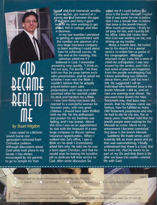## **40D\ 1114[ TO**

#### by Stuart Migdon

<sup>I</sup>was raised in a Reform Jewish home one generation removed from Orthodox Judaism. Although discussions about God rarely took place *in* my house, I was always encouraged by my parents to go to temple for Yom

Kippuff and Rosh Hashanah services. l'grew up, fast, got married at a young age find between the ,ages of eighteen and thirty I spent most of my time working to get ahead, first in college, and then in business.

In my late twenties I persisted in getting an appointment with the number one salesman of a very large insurance company to learn anything I could about how he achieved success. At the end of the meeting, this salesman asked me if I believed in God. I remember answering very quickly, "I think so, I'm not sure, I'm Jewish." He then told me that he prays before each sales presentation, and he asked me whether I ever read the Bible. I couldn't believe that he actually prayed before each sales presentation, and I was even more surprised when he reached under

his desk and handed me a Bible. I was now thirty-two years old, married to a wonderful woman for fourteen years, with two great children. I should have been thrilled with my life. Yet the enthusiasm and passion for my business was fading, and I was scared. About this time I was on an appointment to visit with the treasurer of a very large company to discuss various insurance opportunities. When I walked into Sal's office, I saw a Bible on his desk! I immediately asked him why. He told me he was a born-again Christian, and that he would soon be leaving his lucrative job to dedicate full time service to God. After some discussion Sal

asked me if I could believe that Jesus is the Jewish Messiah. ( replied that it was easier for me to believe that I was a female than to believe that Jesus is the Jewish Messiah. After much persuasion, I finally let Sal pray for me, and I quickly left his office. Little did I know then that God was working on me, and stirring up my insides.

About a month later, Sal invited me to his church for a special service to ordain him as pastor of his congregation. Although reluctant to go, I also felt a sense of child-like anticipation. I was very moved by the service, and I felt a real sense of peace and happiness from the people worshipping God. I knew something was different about them, and I told Sal how I felt. He suggested I call an individual who believed Jesus is the Jewish Messiah. I did so, and we met one evening over dinner. We discussed how Jewish the New Testament was, that Jesus was Jewish, that his Hebrew name was Yeshua, how he fulfilled so many Old Testament prophecies and why he had to die for my sins. For so many years I had been told that my Jewish people were waiting for the Messiah to come. Much to my amazement I became convinced that Jesus is the Jewish Messiah.

Suddenly life made sense, and I instantly felt an inner peace and joy that was overwhelming. I finally understood that there is a God, that he loves me, that he wants to be part of my life and that there is life after we leave this world—eternal life with God.

| Address<br>Name<br>Phone<br>Stare Zip<br>City<br><b>OTSAN</b><br>Chosen People Ministries . 1300 Cross Beam Drive, Charlotte, NC 28217 . OR IN CANADA . Box 897 Station B, North York, ON M2K 2R1 | □ Please send me more information about Yeshua the Messiah.<br>Il am Gentile. Il believe in Yeshua.<br>I I am Jewish. |  | I do not believe in Yeshua. | MAC1 |  |
|---------------------------------------------------------------------------------------------------------------------------------------------------------------------------------------------------|-----------------------------------------------------------------------------------------------------------------------|--|-----------------------------|------|--|
|                                                                                                                                                                                                   |                                                                                                                       |  |                             |      |  |
|                                                                                                                                                                                                   |                                                                                                                       |  |                             |      |  |
|                                                                                                                                                                                                   |                                                                                                                       |  |                             |      |  |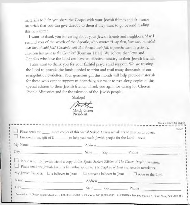**materials to help you share the Gospel with your Jewish friends and also some materials that you can give directly to them if they want to go beyond reading this newsletter.** 

**I want to thank you for caring about your Jewish friends and neighbors. May I remind you of the words of the Apostle, who wrote:** *"I say then, have they stumbled that they should fall? Certainly not! But through their fall, to provoke them to jealousy, salvation has come to the Gentiles"* **(Romans 11:11). We believe that Jews and Gentiles who love the Lord can have an effective ministry to their Jewish friends.** 

**I also want to thank you for your faithful prayers and support. We are trusting the Lord to provide the funds needed to print and mail many thousands of our evangelistic newsletters. Your generous gift this month will help provide materials for those who cannot support us financially, but want to pass along copies of this special edition to their Jewish friends. Thank you again for caring for Chosen People Ministries and for the salvation of the Jewish people.** 

**Shalom!** 

**Mitch Glaser** 

President

| Enclosed is my gift of \$__________ to help you reach Jewish people for the Lord. EVANG                                                                                                                                                                                                                              |         |                         |
|----------------------------------------------------------------------------------------------------------------------------------------------------------------------------------------------------------------------------------------------------------------------------------------------------------------------|---------|-------------------------|
| My Name                                                                                                                                                                                                                                                                                                              |         |                         |
| City City and the City of the City of the City of the City of the City of the City of the City of the City of the City of the City of the City of the City of the City of the City of the City of the City of the City of the                                                                                        |         | State Zip Phone         |
|                                                                                                                                                                                                                                                                                                                      |         |                         |
| Please send my Jewish friend a copy of this Special Seeker's Edition of The Chosen People newsletter.<br>Please send my Jewish friend a free subscription to The Shepherd of Israel evangelistic newsletter.                                                                                                         |         |                         |
|                                                                                                                                                                                                                                                                                                                      |         | $\Box$ open to the Lord |
| My Jewish friend is: $\Box$ a believer in Jesus $\Box$ not yet a believer in Jesus<br>Name and the contract of the contract of the contract of the contract of the contract of the contract of the contract of the contract of the contract of the contract of the contract of the contract of the contract of the c | Address |                         |

Clip and return this coupon